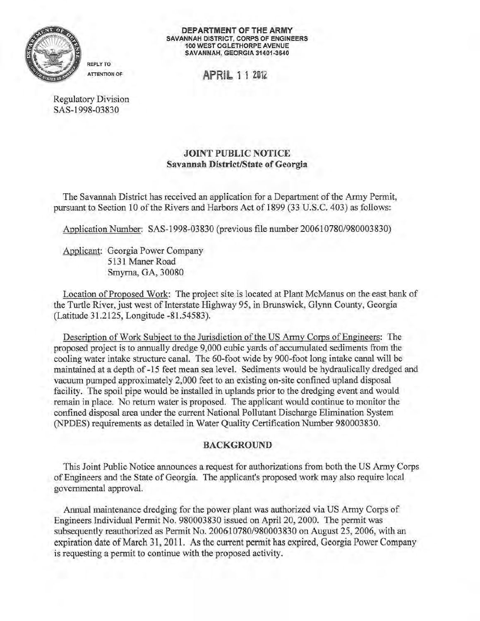

DEPARTMENT OF THE ARMY SAVANNAH DISTRICT, CORPS OF ENGINEERS 100 WEST OGLETHORPE AVENUE SAVANNAH, GEORGIA 31401-3640

ATTENTION OF APRIL 1 1 2012

Regulatory Division SAS-1998-03830

REPLY TO

## JOINT PUBLIC NOTICE Savannah District/State of Georgia

The Savannah District has received an application for a Department of the Army Permit, pursuant to Section 10 of the Rivers and Harbors Act of 1899 (33 U.S.C. 403) as follows:

Application Number: SAS-1998-03 830 (previous file number 200610780/980003 830)

Applicant: Georgia Power Company 5131 Maner Road Smyrna, GA, 30080

Location of Proposed Work: The project site is located at Plant McManus on the east bank of the Turtle River, just west of Interstate Highway 95, in Brunswick, Glynn County, Georgia (Latitude 31.2 125, Longitude -81.54583).

Description of Work Subject to the Jurisdiction of the US Army Corps of Engineers: The proposed project is to annually dredge 9,000 cubic yards of accumulated sediments from the cooling water intake structure canal. The 60-foot wide by 900-foot long intake canal will be maintained at a depth of-15 feet mean sea level. Sediments would be hydraulically dredged and vacuum pumped approximately 2,000 feet to an existing on-site confmed upland disposal facility. The spoil pipe would be installed in uplands prior to the dredging event and would remain in place. No return water is proposed. The applicant would continue to monitor the confined disposal area under the current National Pollutant Discharge Elimination System (NPDES) requirements as detailed in Water Quality Certification Number 980003830.

## BACKGROUND

This Joint Public Notice announces a request for authorizations from both the US Army Corps ofEngineers and the State of Georgia. The applicant's proposed work may also require local governmental approval.

Annual maintenance dredging for the power plant was authorized via US Army Corps of Engineers Individual Permit No. 980003830 issued on April20, 2000. The permit was subsequently reauthorized as Permit No. 200610780/980003830 on August 25, 2006, with an expiration date of March 31, 2011. As the current permit has expired, Georgia Power Company is requesting a permit to continue with the proposed activity.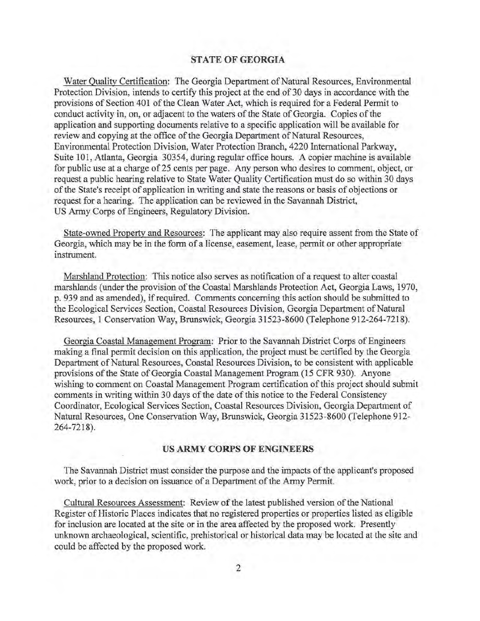## **STATE OF GEORGIA**

Water Quality Certification: The Georgia Department of Natural Resources, Environmental Protection Division, intends to certify this project at the end of 30 days in accordance with the provisions of Section 401 of the Clean Water Act, which is required for a Federal Permit to conduct activity in, on, or adjacent to the waters of the State of Georgia. Copies of the application and supporting documents relative to a specific application will be available for review and copying at the office of the Georgia Department of Natural Resources, Environmental Protection Division, Water Protection Branch, 4220 International Parkway, Suite 101, Atlanta, Georgia 30354, during regular office hours. A copier machine is available for public use at a charge of 25 cents per page. Any person who desires to comment, object, or request a public hearing relative to State Water Quality Certification must do so within 30 days of the State's receipt of application in writing and state the reasons or basis of objections or request for a hearing. The application can be reviewed in the Savannah District, US Army Corps of Engineers, Regulatory Division.

State-owned Property and Resources: The applicant may also require assent from the State of Georgia, which may be in the form of a license, easement, lease, permit or other appropriate instrument.

Marshland Protection: This notice also serves as notification of a request to alter coastal marshlands (under the provision of the Coastal Marshlands Protection Act, Georgia Laws, 1970, p. 939 and as amended), if required. Comments concerning this action should be submitted to the Ecological Services Section, Coastal Resources Division, Georgia Department of Natural Resources, **1** Conservation Way, Brunswick, Georgia 31523-8600 (Telephone 912-264-7218).

Georgia Coastal Management Program: Prior to the Savannah District Corps of Engineers making a fmal permit decision on this application, the project must be certified by the Georgia Department of Natural Resources, Coastal Resources Division, to be consistent with applicable provisions of the State of Georgia Coastal Management Program (15 CFR 930). Anyone wishing to comment on Coastal Management Program certification of this project should submit comments in writing within 30 days of the date of this notice to the Federal Consistency Coordinator, Ecological Services Section, Coastal Resources Division, Georgia Department of Natural Resources, One Conservation Way, Brunswick, Georgia 31523-8600 (Telephone 912 264-7218).

## **US ARMY CORPS OF ENGINEERS**

The Savannah District must consider the purpose and the impacts of the applicant's proposed work, prior to a decision on issuance of a Department of the Army Permit.

Cultural Resources Assessment: Review of the latest published version of the National Register of Historic Places indicates that no registered properties or properties listed as eligible for inclusion are located at the site or in the area affected by the proposed work. Presently unknown archaeological, scientific, prehistorical or historical data may be located at the site and could be affected by the proposed work.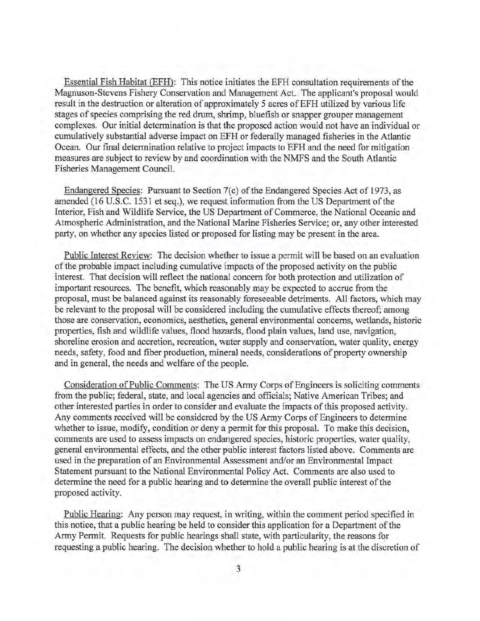Essential Fish Habitat (EFH): This notice initiates the EFH consultation requirements of the Magnuson-Stevens Fishery Conservation and Management Act. The applicant's proposal would result in the destruction or alteration of approximately 5 acres of EFH utilized by various life stages of species comprising the red drum, shrimp, bluefish or snapper grouper management complexes. Our initial determination is that the proposed action would not have an individual or cumulatively substantial adverse impact on EFH or federally managed fisheries in the Atlantic Ocean. Our final determination relative to project impacts to EFH and the need for mitigation measures are subject to review by and coordination with the NMFS and the South Atlantic Fisheries Management Council.

Endangered Species: Pursuant to Section 7(c) of the Endangered Species Act of 1973, as amended (16 U.S.C. 1531 et seq.), we request information from the US Department of the Interior, Fish and Wildlife Service, the US Department of Commerce, the National Oceanic and Atmospheric Administration, and the National Marine Fisheries Service; or, any other interested party, on whether any species listed or proposed for listing may be present in the area.

Public Interest Review: The decision whether to issue a permit will be based on an evaluation of the probable impact including cumulative impacts ofthe proposed activity on the public interest. That decision will reflect the national concern for both protection and utilization of important resources. The benefit, which reasonably may be expected to accrue from the proposal, must be balanced against its reasonably foreseeable detriments. All factors, which may be relevant to the proposal will be considered including the cumulative effects thereof; among those are conservation, economics, aesthetics, general environmental concerns, wetlands, historic properties, fish and wildlife values, flood hazards, flood plain values, land use, navigation, shoreline erosion and accretion, recreation, water supply and conservation, water quality, energy needs, safety, food and fiber production, mineral needs, considerations of property ownership and in general, the needs and welfare of the people.

Consideration of Public Comments: The US Army Corps of Engineers is soliciting comments from the public; federal, state, and local agencies and officials; Native American Tribes; and other interested parties in order to consider and evaluate the impacts of this proposed activity. Any comments received will be considered by the US Army Corps of Engineers to determine whether to issue, modify, condition or deny a permit for this proposal. To make this decision, comments are used to assess impacts on endangered species, historic properties, water quality, general environmental effects, and the other public interest factors listed above. Comments are used in the preparation of an Environmental Assessment and/or an Environmental Impact Statement pursuant to the National Environmental Policy Act. Comments are also used to determine the need for a public hearing and to determine the overall public interest of the proposed activity.

Public Hearing: Any person may request, in writing, within the comment period specified in this notice, that a public hearing be held to consider this application for a Department of the Army Permit. Requests for public hearings shall state, with particularity, the reasons for requesting a public hearing. The decision whether to hold a public hearing is at the discretion of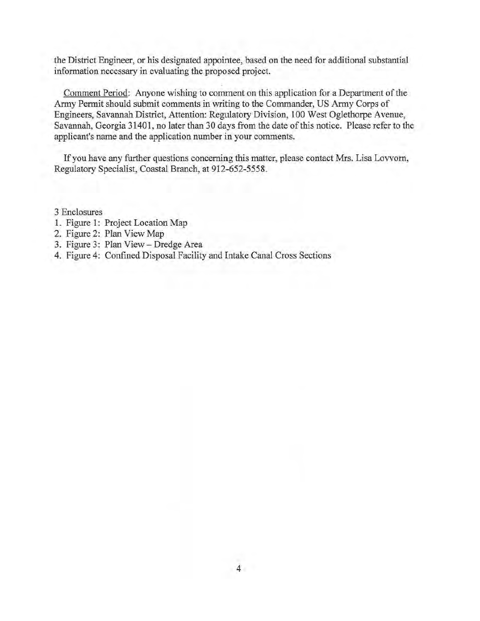the District Engineer, or his designated appointee, based on the need for additional substantial information necessary in evaluating the proposed project.

Comment Period: Anyone wishing to comment on this application for a Department of the Army Permit should submit comments in writing to the Commander, US Army Corps of Engineers, Savannah District, Attention: Regulatory Division, 100 West Oglethorpe A venue, Savannah, Georgia 31401, no later than 30 days from the date of this notice. Please refer to the applicant's name and the application number in your comments.

If you have any further questions concerning this matter, please contact Mrs. Lisa Lovvorn, Regulatory Specialist, Coastal Branch, at 912-652-5558 .

3 Enclosures

- 1. Figure 1: Project Location Map
- 2. Figure 2: Plan View Map
- 3. Figure 3: Plan View- Dredge Area
- 4. Figure 4: Confmed Disposal Facility and Intake Canal Cross Sections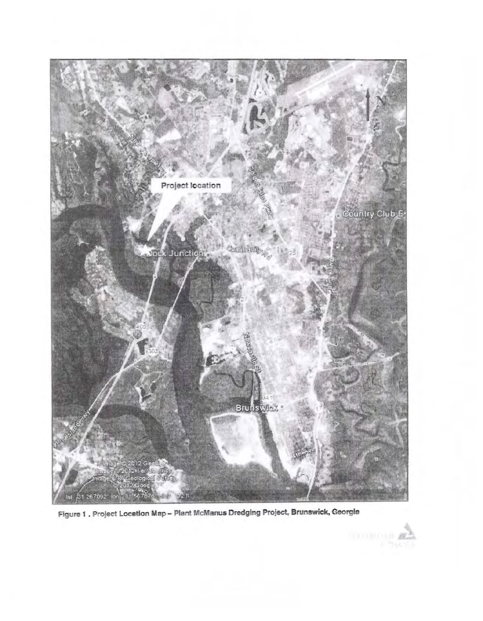

Figure 1 . Project Location Map - Plant McManus Dredging Project, Brunswick, Georgia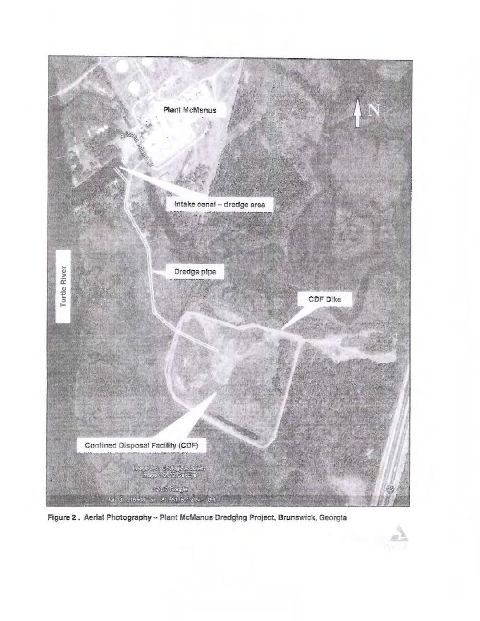

Figure 2. Aerial Photography - Plant McManus Dredging Project, Brunswick, Georgia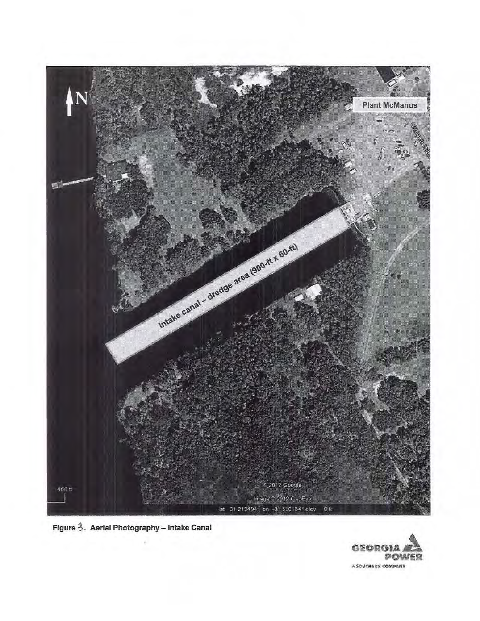

Figure 3. Aerial Photography - Intake Canal